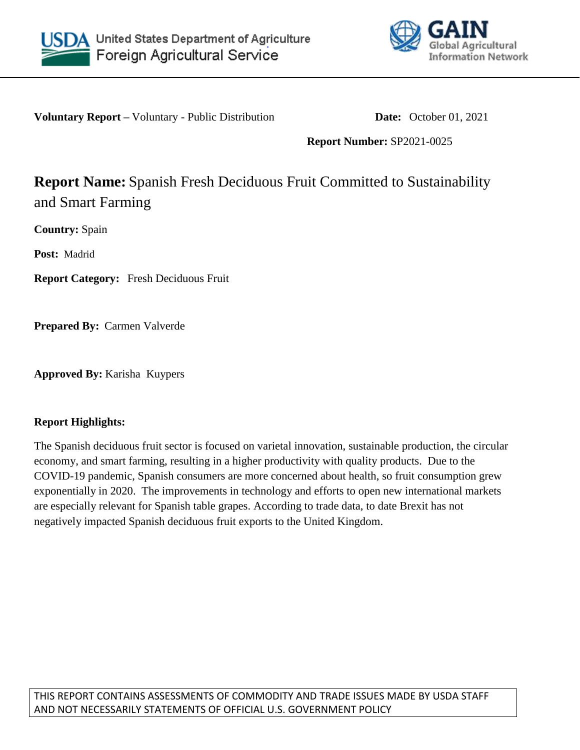



**Voluntary Report –** Voluntary - Public Distribution **Date:** October 01, 2021

**Report Number:** SP2021-0025

# **Report Name:** Spanish Fresh Deciduous Fruit Committed to Sustainability and Smart Farming

**Country:** Spain

**Post:** Madrid

**Report Category:** Fresh Deciduous Fruit

**Prepared By:** Carmen Valverde

**Approved By:** Karisha Kuypers

## **Report Highlights:**

The Spanish deciduous fruit sector is focused on varietal innovation, sustainable production, the circular economy, and smart farming, resulting in a higher productivity with quality products. Due to the COVID-19 pandemic, Spanish consumers are more concerned about health, so fruit consumption grew exponentially in 2020. The improvements in technology and efforts to open new international markets are especially relevant for Spanish table grapes. According to trade data, to date Brexit has not negatively impacted Spanish deciduous fruit exports to the United Kingdom.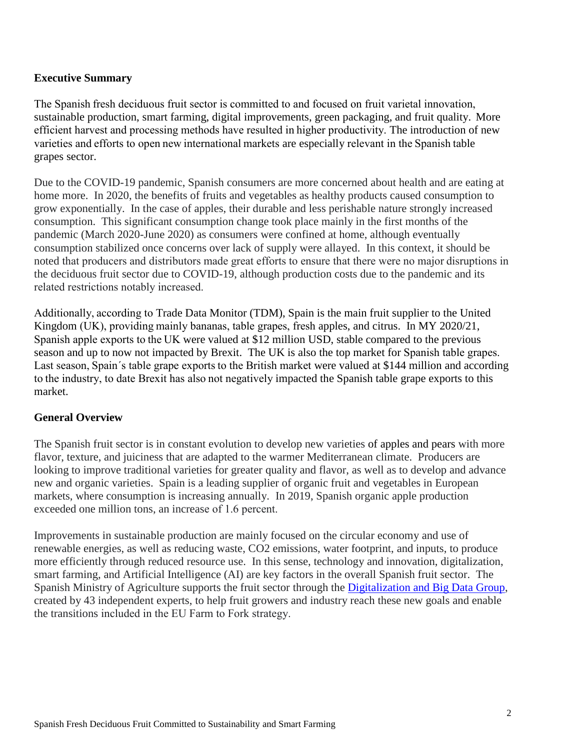### **Executive Summary**

The Spanish fresh deciduous fruit sector is committed to and focused on fruit varietal innovation, sustainable production, smart farming, digital improvements, green packaging, and fruit quality.  More efficient harvest and processing methods have resulted in higher productivity. The introduction of new varieties and efforts to open new international markets are especially relevant in the Spanish table grapes sector.

Due to the COVID-19 pandemic, Spanish consumers are more concerned about health and are eating at home more. In 2020, the benefits of fruits and vegetables as healthy products caused consumption to grow exponentially. In the case of apples, their durable and less perishable nature strongly increased consumption. This significant consumption change took place mainly in the first months of the pandemic (March 2020-June 2020) as consumers were confined at home, although eventually consumption stabilized once concerns over lack of supply were allayed. In this context, it should be noted that producers and distributors made great efforts to ensure that there were no major disruptions in the deciduous fruit sector due to COVID-19, although production costs due to the pandemic and its related restrictions notably increased. 

Additionally, according to Trade Data Monitor (TDM), Spain is the main fruit supplier to the United Kingdom (UK), providing mainly bananas, table grapes, fresh apples, and citrus. In MY 2020/21, Spanish apple exports to the UK were valued at \$12 million USD, stable compared to the previous season and up to now not impacted by Brexit. The UK is also the top market for Spanish table grapes.  Last season, Spain´s table grape exports to the British market were valued at \$144 million and according to the industry, to date Brexit has also not negatively impacted the Spanish table grape exports to this market.

### **General Overview**

The Spanish fruit sector is in constant evolution to develop new varieties of apples and pears with more flavor, texture, and juiciness that are adapted to the warmer Mediterranean climate. Producers are looking to improve traditional varieties for greater quality and flavor, as well as to develop and advance new and organic varieties. Spain is a leading supplier of organic fruit and vegetables in European markets, where consumption is increasing annually. In 2019, Spanish organic apple production exceeded one million tons, an increase of 1.6 percent.  

Improvements in sustainable production are mainly focused on the circular economy and use of renewable energies, as well as reducing waste, CO2 emissions, water footprint, and inputs, to produce more efficiently through reduced resource use. In this sense, technology and innovation, digitalization, smart farming, and Artificial Intelligence (AI) are key factors in the overall Spanish fruit sector. The Spanish Ministry of Agriculture supports the fruit sector through the [Digitalization and Big Data Group,](https://www.mapa.gob.es/es/agricultura/temas/producciones-agricolas/5laestrategiadedigitalizaciondelsectoragroalimentario_rociowojski_tcm30-576380.pdf) created by 43 independent experts, to help fruit growers and industry reach these new goals and enable the transitions included in the EU Farm to Fork strategy.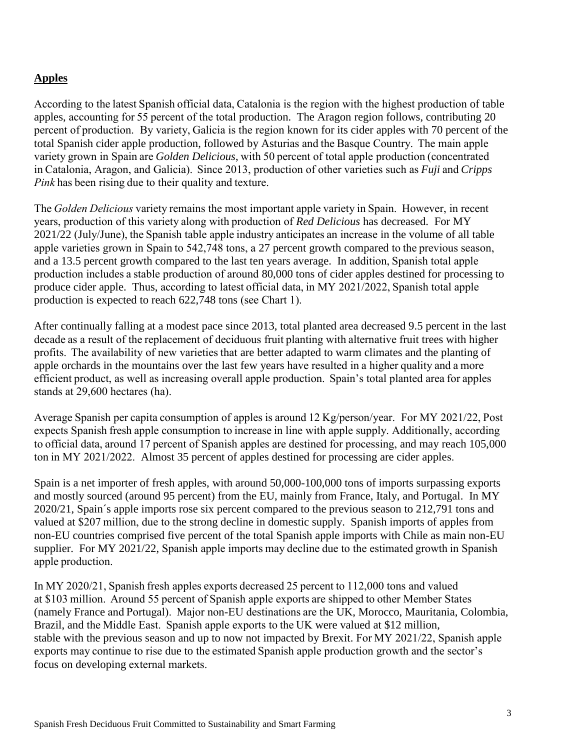# **Apples**

According to the latest Spanish official data, Catalonia is the region with the highest production of table apples, accounting for 55 percent of the total production. The Aragon region follows, contributing 20 percent of production. By variety, Galicia is the region known for its cider apples with 70 percent of the total Spanish cider apple production, followed by Asturias and the Basque Country.  The main apple variety grown in Spain are *Golden Delicious*, with 50 percent of total apple production (concentrated in Catalonia, Aragon, and Galicia).  Since 2013, production of other varieties such as *Fuji* and *Cripps Pink*has been rising due to their quality and texture.   

The *Golden Delicious* variety remains the most important apple variety in Spain.  However, in recent years, production of this variety along with production of *Red Delicious* has decreased. For MY 2021/22 (July/June), the Spanish table apple industry anticipates an increase in the volume of all table apple varieties grown in Spain to 542,748 tons, a 27 percent growth compared to the previous season, and a 13.5 percent growth compared to the last ten years average. In addition, Spanish total apple production includes a stable production of around 80,000 tons of cider apples destined for processing to produce cider apple. Thus, according to latest official data, in MY 2021/2022, Spanish total apple production is expected to reach 622,748 tons (see Chart 1).  

After continually falling at a modest pace since 2013, total planted area decreased 9.5 percent in the last decade as a result of the replacement of deciduous fruit planting with alternative fruit trees with higher profits.  The availability of new varieties that are better adapted to warm climates and the planting of apple orchards in the mountains over the last few years have resulted in a higher quality and a more efficient product, as well as increasing overall apple production.  Spain's total planted area for apples stands at 29,600 hectares (ha).   

Average Spanish per capita consumption of apples is around 12 Kg/person/year. For MY 2021/22, Post expects Spanish fresh apple consumption to increase in line with apple supply. Additionally, according to official data, around 17 percent of Spanish apples are destined for processing, and may reach 105,000 ton in MY 2021/2022. Almost 35 percent of apples destined for processing are cider apples.  

Spain is a net importer of fresh apples, with around 50,000-100,000 tons of imports surpassing exports and mostly sourced (around 95 percent) from the EU, mainly from France, Italy, and Portugal. In MY 2020/21, Spain´s apple imports rose six percent compared to the previous season to 212,791 tons and valued at \$207 million, due to the strong decline in domestic supply. Spanish imports of apples from non-EU countries comprised five percent of the total Spanish apple imports with Chile as main non-EU supplier. For MY 2021/22, Spanish apple imports may decline due to the estimated growth in Spanish apple production.  

In MY 2020/21, Spanish fresh apples exports decreased 25 percent to 112,000 tons and valued at \$103 million.  Around 55 percent of Spanish apple exports are shipped to other Member States (namely France and Portugal).  Major non-EU destinations are the UK, Morocco, Mauritania, Colombia, Brazil, and the Middle East.  Spanish apple exports to the UK were valued at \$12 million, stable with the previous season and up to now not impacted by Brexit. For MY 2021/22, Spanish apple exports may continue to rise due to the estimated Spanish apple production growth and the sector's focus on developing external markets.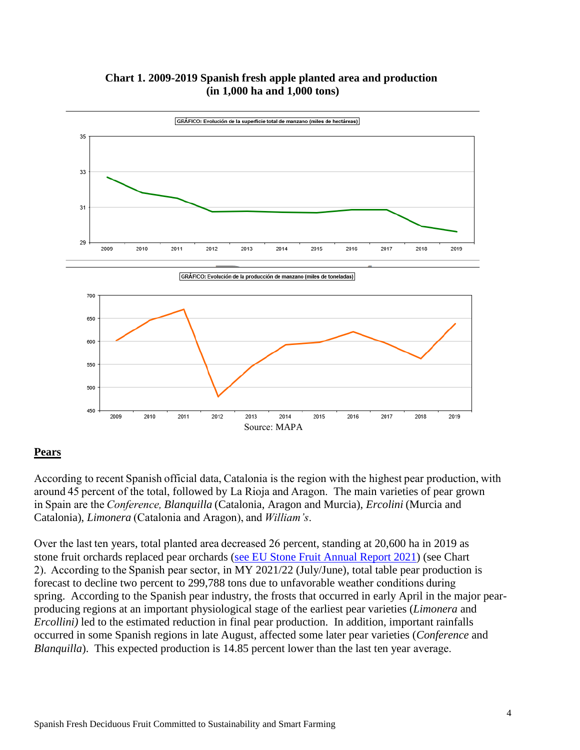



**Pears**  

According to recent Spanish official data, Catalonia is the region with the highest pear production, with around 45 percent of the total, followed by La Rioja and Aragon. The main varieties of pear grown in Spain are the *Conference, Blanquilla* (Catalonia, Aragon and Murcia), *Ercolini* (Murcia and Catalonia), *Limonera* (Catalonia and Aragon), and *William's*.  

Over the last ten years, total planted area decreased 26 percent, standing at 20,600 ha in 2019 as stone fruit orchards replaced pear orchards [\(see EU Stone Fruit Annual Report 2021\)](https://www.fas.usda.gov/data/european-union-stone-fruit-annual-0) (see Chart 2).  According to the Spanish pear sector, in MY 2021/22 (July/June), total table pear production is forecast to decline two percent to 299,788 tons due to unfavorable weather conditions during spring. According to the Spanish pear industry, the frosts that occurred in early April in the major pearproducing regions at an important physiological stage of the earliest pear varieties (*Limonera* and *Ercollini*) led to the estimated reduction in final pear production. In addition, important rainfalls occurred in some Spanish regions in late August, affected some later pear varieties (*Conference* and *Blanquilla*). This expected production is 14.85 percent lower than the last ten year average.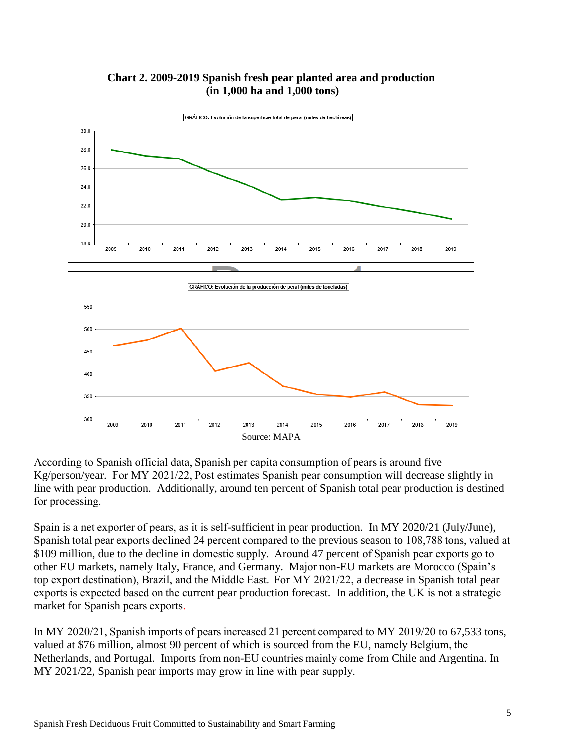

**Chart 2. 2009-2019 Spanish fresh pear planted area and production (in 1,000 ha and 1,000 tons)**

According to Spanish official data, Spanish per capita consumption of pears is around five Kg/person/year. For MY 2021/22, Post estimates Spanish pear consumption will decrease slightly in line with pear production. Additionally, around ten percent of Spanish total pear production is destined for processing.  

Spain is a net exporter of pears, as it is self-sufficient in pear production. In MY 2020/21 (July/June), Spanish total pear exports declined 24 percent compared to the previous season to 108,788 tons, valued at \$109 million, due to the decline in domestic supply.  Around 47 percent of Spanish pear exports go to other EU markets, namely Italy, France, and Germany. Major non-EU markets are Morocco (Spain's top export destination), Brazil, and the Middle East.  For MY 2021/22, a decrease in Spanish total pear exports is expected based on the current pear production forecast. In addition, the UK is not a strategic market for Spanish pears exports.  

In MY 2020/21, Spanish imports of pears increased 21 percent compared to MY 2019/20 to 67,533 tons, valued at \$76 million, almost 90 percent of which is sourced from the EU, namely Belgium, the Netherlands, and Portugal. Imports from non-EU countries mainly come from Chile and Argentina. In MY 2021/22, Spanish pear imports may grow in line with pear supply.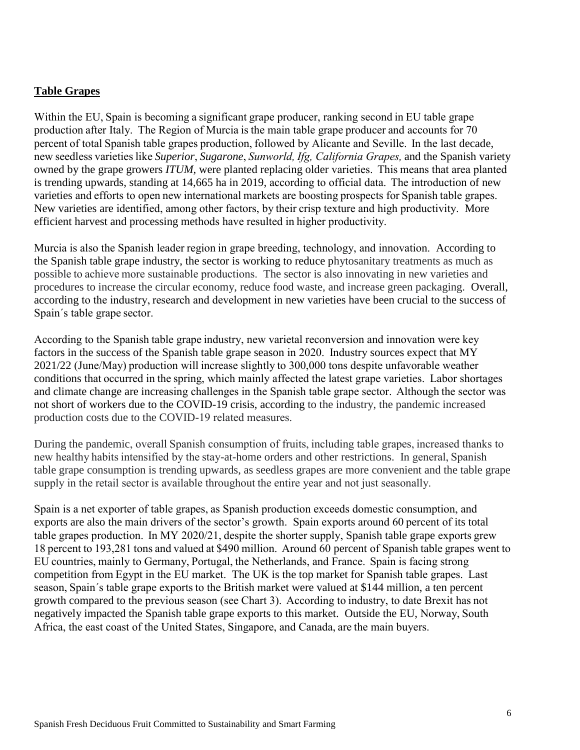#### **Table Grapes**

Within the EU, Spain is becoming a significant grape producer, ranking second in EU table grape production after Italy.  The Region of Murcia is the main table grape producer and accounts for 70 percent of total Spanish table grapes production, followed by Alicante and Seville.  In the last decade, new seedless varieties like *Superior*, *Sugarone*, *Sunworld, Ifg, California Grapes,*and the Spanish variety owned by the grape growers *ITUM,* were planted replacing older varieties.  This means that area planted is trending upwards, standing at 14,665 ha in 2019, according to official data.  The introduction of new varieties and efforts to open new international markets are boosting prospects for Spanish table grapes. New varieties are identified, among other factors, by their crisp texture and high productivity. More efficient harvest and processing methods have resulted in higher productivity.  

Murcia is also the Spanish leader region in grape breeding, technology, and innovation. According to the Spanish table grape industry, the sector is working to reduce phytosanitary treatments as much as possible to achieve more sustainable productions. The sector is also innovating in new varieties and procedures to increase the circular economy, reduce food waste, and increase green packaging. Overall, according to the industry, research and development in new varieties have been crucial to the success of Spain´s table grape sector.

According to the Spanish table grape industry, new varietal reconversion and innovation were key factors in the success of the Spanish table grape season in 2020.  Industry sources expect that MY 2021/22 (June/May) production will increase slightly to 300,000 tons despite unfavorable weather conditions that occurred in the spring, which mainly affected the latest grape varieties.  Labor shortages and climate change are increasing challenges in the Spanish table grape sector.  Although the sector was not short of workers due to the COVID-19 crisis, according to the industry, the pandemic increased production costs due to the COVID-19 related measures. 

During the pandemic, overall Spanish consumption of fruits, including table grapes, increased thanks to new healthy habits intensified by the stay-at-home orders and other restrictions. In general, Spanish table grape consumption is trending upwards, as seedless grapes are more convenient and the table grape supply in the retail sector is available throughout the entire year and not just seasonally.

Spain is a net exporter of table grapes, as Spanish production exceeds domestic consumption, and exports are also the main drivers of the sector's growth. Spain exports around 60 percent of its total table grapes production.  In MY 2020/21, despite the shorter supply, Spanish table grape exports grew 18 percent to 193,281 tons and valued at \$490 million.  Around 60 percent of Spanish table grapes went to EU countries, mainly to Germany, Portugal, the Netherlands, and France.  Spain is facing strong competition from Egypt in the EU market. The UK is the top market for Spanish table grapes.  Last season, Spain´s table grape exports to the British market were valued at \$144 million, a ten percent growth compared to the previous season (see Chart 3).  According to industry, to date Brexit has not negatively impacted the Spanish table grape exports to this market. Outside the EU, Norway, South Africa, the east coast of the United States, Singapore, and Canada, are the main buyers.